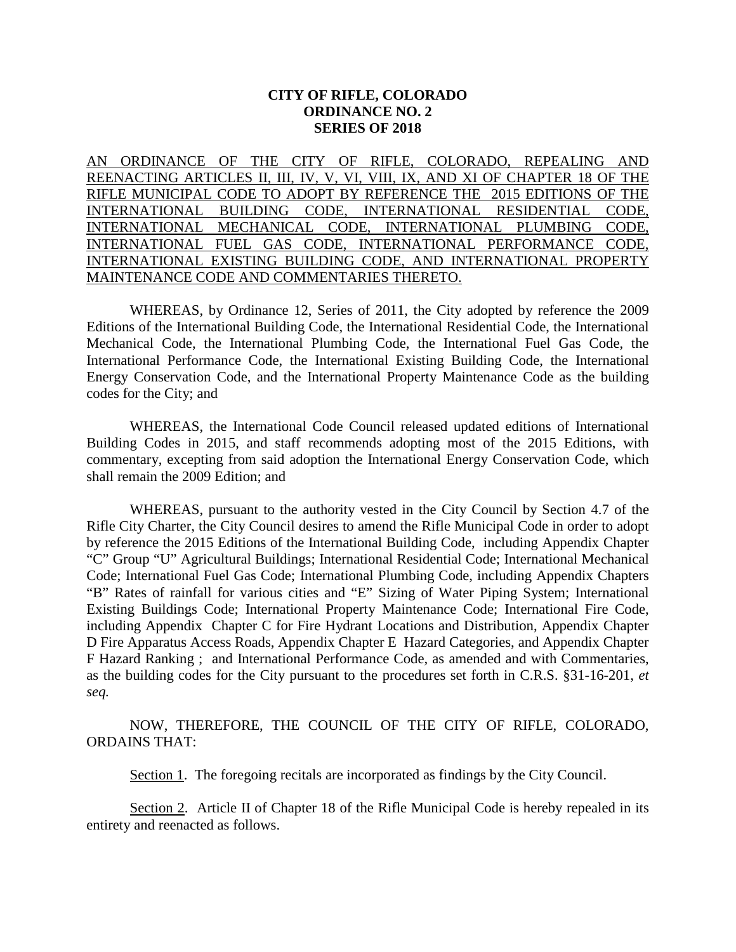# **CITY OF RIFLE, COLORADO ORDINANCE NO. 2 SERIES OF 2018**

AN ORDINANCE OF THE CITY OF RIFLE, COLORADO, REPEALING AND REENACTING ARTICLES II, III, IV, V, VI, VIII, IX, AND XI OF CHAPTER 18 OF THE RIFLE MUNICIPAL CODE TO ADOPT BY REFERENCE THE 2015 EDITIONS OF THE INTERNATIONAL BUILDING CODE, INTERNATIONAL RESIDENTIAL CODE, INTERNATIONAL MECHANICAL CODE, INTERNATIONAL PLUMBING CODE, INTERNATIONAL FUEL GAS CODE, INTERNATIONAL PERFORMANCE CODE, INTERNATIONAL EXISTING BUILDING CODE, AND INTERNATIONAL PROPERTY MAINTENANCE CODE AND COMMENTARIES THERETO.

WHEREAS, by Ordinance 12, Series of 2011, the City adopted by reference the 2009 Editions of the International Building Code, the International Residential Code, the International Mechanical Code, the International Plumbing Code, the International Fuel Gas Code, the International Performance Code, the International Existing Building Code, the International Energy Conservation Code, and the International Property Maintenance Code as the building codes for the City; and

WHEREAS, the International Code Council released updated editions of International Building Codes in 2015, and staff recommends adopting most of the 2015 Editions, with commentary, excepting from said adoption the International Energy Conservation Code, which shall remain the 2009 Edition; and

WHEREAS, pursuant to the authority vested in the City Council by Section 4.7 of the Rifle City Charter, the City Council desires to amend the Rifle Municipal Code in order to adopt by reference the 2015 Editions of the International Building Code, including Appendix Chapter "C" Group "U" Agricultural Buildings; International Residential Code; International Mechanical Code; International Fuel Gas Code; International Plumbing Code, including Appendix Chapters "B" Rates of rainfall for various cities and "E" Sizing of Water Piping System; International Existing Buildings Code; International Property Maintenance Code; International Fire Code, including Appendix Chapter C for Fire Hydrant Locations and Distribution, Appendix Chapter D Fire Apparatus Access Roads, Appendix Chapter E Hazard Categories, and Appendix Chapter F Hazard Ranking ; and International Performance Code, as amended and with Commentaries, as the building codes for the City pursuant to the procedures set forth in C.R.S. §31-16-201, *et seq.*

NOW, THEREFORE, THE COUNCIL OF THE CITY OF RIFLE, COLORADO, ORDAINS THAT:

Section 1. The foregoing recitals are incorporated as findings by the City Council.

Section 2. Article II of Chapter 18 of the Rifle Municipal Code is hereby repealed in its entirety and reenacted as follows.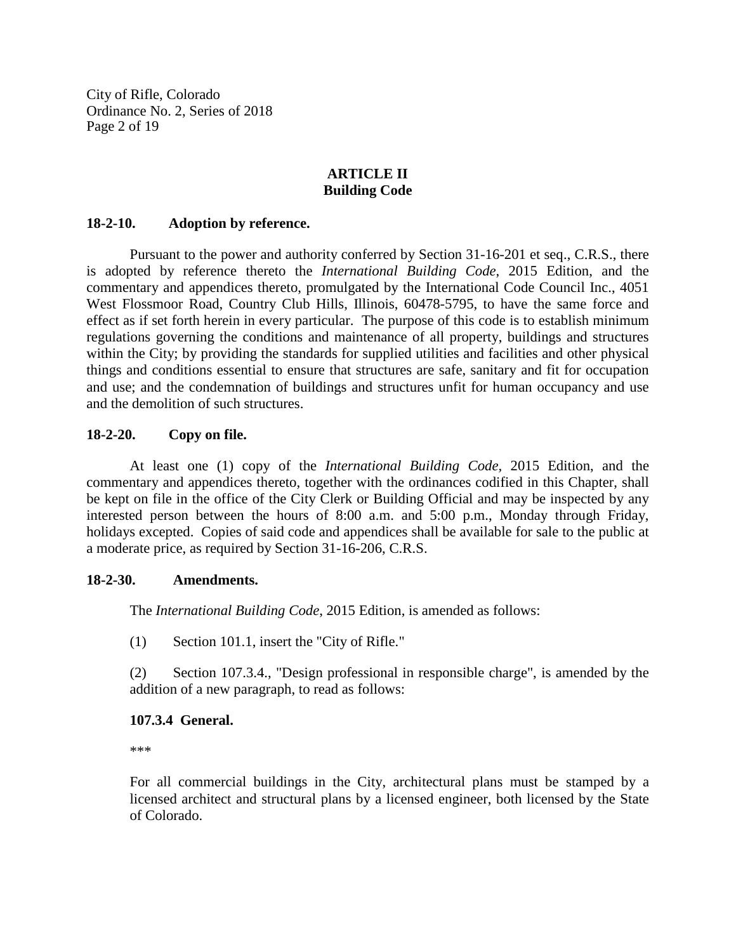City of Rifle, Colorado Ordinance No. 2, Series of 2018 Page 2 of 19

# **ARTICLE II Building Code**

## **18-2-10. Adoption by reference.**

Pursuant to the power and authority conferred by Section 31-16-201 et seq., C.R.S., there is adopted by reference thereto the *International Building Code*, 2015 Edition, and the commentary and appendices thereto, promulgated by the International Code Council Inc., 4051 West Flossmoor Road, Country Club Hills, Illinois, 60478-5795, to have the same force and effect as if set forth herein in every particular. The purpose of this code is to establish minimum regulations governing the conditions and maintenance of all property, buildings and structures within the City; by providing the standards for supplied utilities and facilities and other physical things and conditions essential to ensure that structures are safe, sanitary and fit for occupation and use; and the condemnation of buildings and structures unfit for human occupancy and use and the demolition of such structures.

# **18-2-20. Copy on file.**

At least one (1) copy of the *International Building Code,* 2015 Edition, and the commentary and appendices thereto, together with the ordinances codified in this Chapter, shall be kept on file in the office of the City Clerk or Building Official and may be inspected by any interested person between the hours of 8:00 a.m. and 5:00 p.m., Monday through Friday, holidays excepted. Copies of said code and appendices shall be available for sale to the public at a moderate price, as required by Section 31-16-206, C.R.S.

#### **18-2-30. Amendments.**

The *International Building Code*, 2015 Edition, is amended as follows:

(1) Section 101.1, insert the "City of Rifle."

(2) Section 107.3.4., "Design professional in responsible charge", is amended by the addition of a new paragraph, to read as follows:

# **107.3.4 General.**

\*\*\*

For all commercial buildings in the City, architectural plans must be stamped by a licensed architect and structural plans by a licensed engineer, both licensed by the State of Colorado.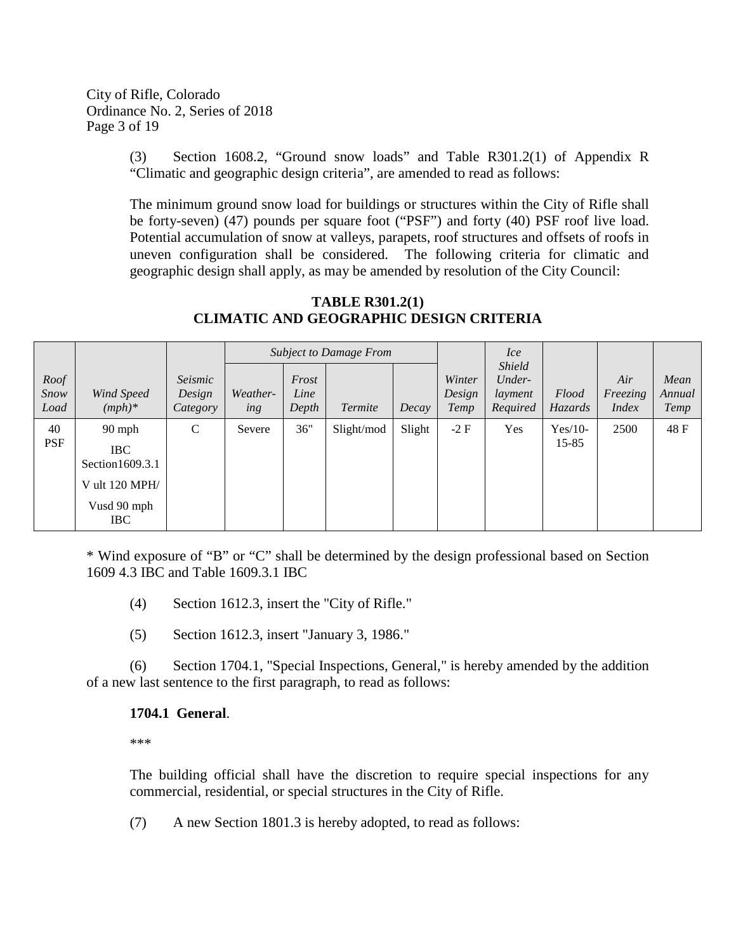City of Rifle, Colorado Ordinance No. 2, Series of 2018 Page 3 of 19

> (3) Section 1608.2, "Ground snow loads" and Table R301.2(1) of Appendix R "Climatic and geographic design criteria", are amended to read as follows:

> The minimum ground snow load for buildings or structures within the City of Rifle shall be forty-seven) (47) pounds per square foot ("PSF") and forty (40) PSF roof live load. Potential accumulation of snow at valleys, parapets, roof structures and offsets of roofs in uneven configuration shall be considered. The following criteria for climatic and geographic design shall apply, as may be amended by resolution of the City Council:

#### *Roof Snow Load Wind Speed (mph)\* Seismic Design Category Subject to Damage From Winter Design Temp Ice Shield Underlayment Required Flood Hazards Air Freezing Index Mean Annual Temp Weathering Frost Line Depth Termite Decay* 40 PSF 90 mph IBC Section1609.3.1 V ult 120 MPH/ Vusd 90 mph IBC C Severe 36" Slight/mod Slight -2 F Yes Yes/10-15-85  $2500 \quad | \quad 48 \text{ F}$

# **TABLE R301.2(1) CLIMATIC AND GEOGRAPHIC DESIGN CRITERIA**

\* Wind exposure of "B" or "C" shall be determined by the design professional based on Section 1609 4.3 IBC and Table 1609.3.1 IBC

- (4) Section 1612.3, insert the "City of Rifle."
- (5) Section 1612.3, insert "January 3, 1986."

(6) Section 1704.1, "Special Inspections, General," is hereby amended by the addition of a new last sentence to the first paragraph, to read as follows:

#### **1704.1 General**.

\*\*\*

The building official shall have the discretion to require special inspections for any commercial, residential, or special structures in the City of Rifle.

(7) A new Section 1801.3 is hereby adopted, to read as follows: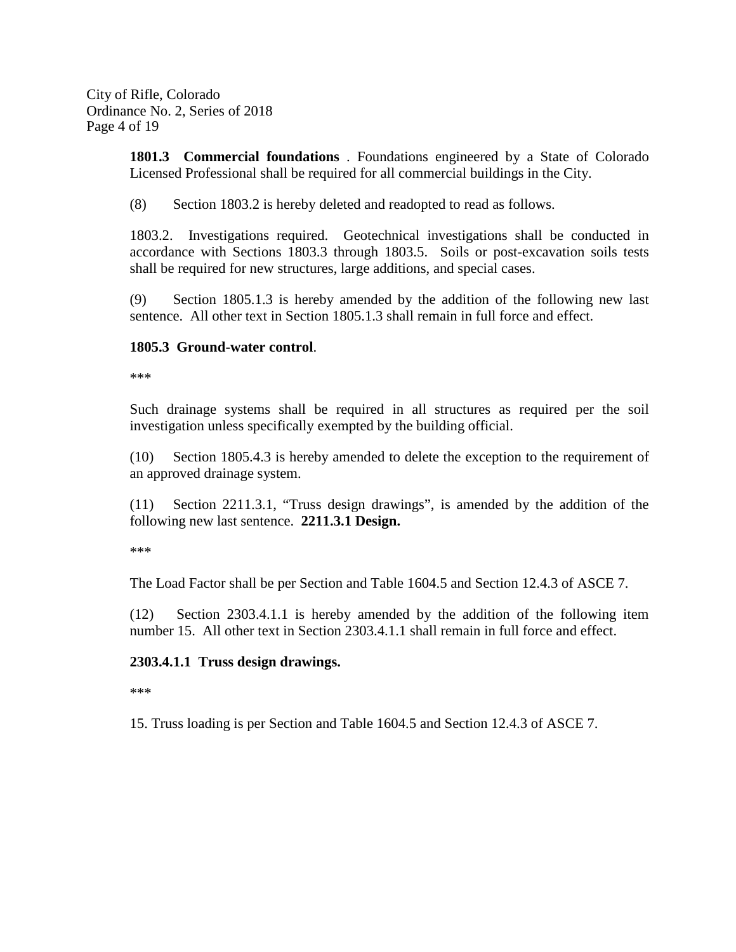City of Rifle, Colorado Ordinance No. 2, Series of 2018 Page 4 of 19

> **1801.3 Commercial foundations** . Foundations engineered by a State of Colorado Licensed Professional shall be required for all commercial buildings in the City.

(8) Section 1803.2 is hereby deleted and readopted to read as follows.

1803.2. Investigations required. Geotechnical investigations shall be conducted in accordance with Sections 1803.3 through 1803.5. Soils or post-excavation soils tests shall be required for new structures, large additions, and special cases.

(9) Section 1805.1.3 is hereby amended by the addition of the following new last sentence. All other text in Section 1805.1.3 shall remain in full force and effect.

# **1805.3 Ground-water control**.

\*\*\*

Such drainage systems shall be required in all structures as required per the soil investigation unless specifically exempted by the building official.

(10) Section 1805.4.3 is hereby amended to delete the exception to the requirement of an approved drainage system.

(11) Section 2211.3.1, "Truss design drawings", is amended by the addition of the following new last sentence. **2211.3.1 Design.**

\*\*\*

The Load Factor shall be per Section and Table 1604.5 and Section 12.4.3 of ASCE 7.

(12) Section 2303.4.1.1 is hereby amended by the addition of the following item number 15. All other text in Section 2303.4.1.1 shall remain in full force and effect.

# **2303.4.1.1 Truss design drawings.**

\*\*\*

15. Truss loading is per Section and Table 1604.5 and Section 12.4.3 of ASCE 7.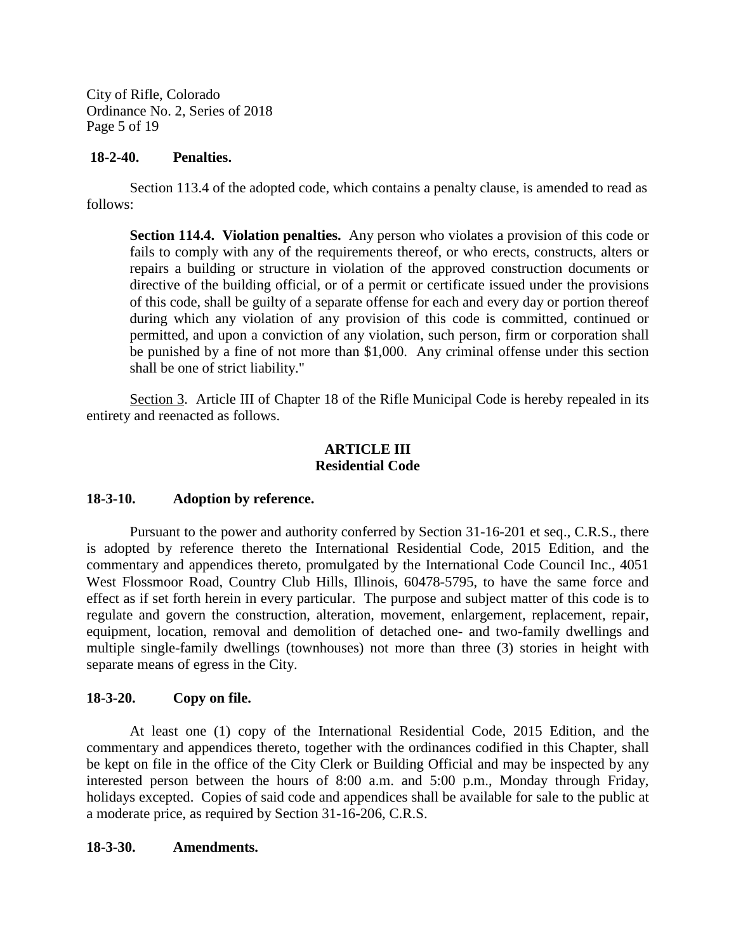City of Rifle, Colorado Ordinance No. 2, Series of 2018 Page 5 of 19

## **18-2-40. Penalties.**

Section 113.4 of the adopted code, which contains a penalty clause, is amended to read as follows:

**Section 114.4. Violation penalties.** Any person who violates a provision of this code or fails to comply with any of the requirements thereof, or who erects, constructs, alters or repairs a building or structure in violation of the approved construction documents or directive of the building official, or of a permit or certificate issued under the provisions of this code, shall be guilty of a separate offense for each and every day or portion thereof during which any violation of any provision of this code is committed, continued or permitted, and upon a conviction of any violation, such person, firm or corporation shall be punished by a fine of not more than \$1,000. Any criminal offense under this section shall be one of strict liability."

Section 3. Article III of Chapter 18 of the Rifle Municipal Code is hereby repealed in its entirety and reenacted as follows.

# **ARTICLE III Residential Code**

# **18-3-10. Adoption by reference.**

Pursuant to the power and authority conferred by Section 31-16-201 et seq., C.R.S., there is adopted by reference thereto the International Residential Code, 2015 Edition, and the commentary and appendices thereto, promulgated by the International Code Council Inc., 4051 West Flossmoor Road, Country Club Hills, Illinois, 60478-5795, to have the same force and effect as if set forth herein in every particular. The purpose and subject matter of this code is to regulate and govern the construction, alteration, movement, enlargement, replacement, repair, equipment, location, removal and demolition of detached one- and two-family dwellings and multiple single-family dwellings (townhouses) not more than three (3) stories in height with separate means of egress in the City.

# **18-3-20. Copy on file.**

At least one (1) copy of the International Residential Code, 2015 Edition, and the commentary and appendices thereto, together with the ordinances codified in this Chapter, shall be kept on file in the office of the City Clerk or Building Official and may be inspected by any interested person between the hours of 8:00 a.m. and 5:00 p.m., Monday through Friday, holidays excepted. Copies of said code and appendices shall be available for sale to the public at a moderate price, as required by Section 31-16-206, C.R.S.

#### **18-3-30. Amendments.**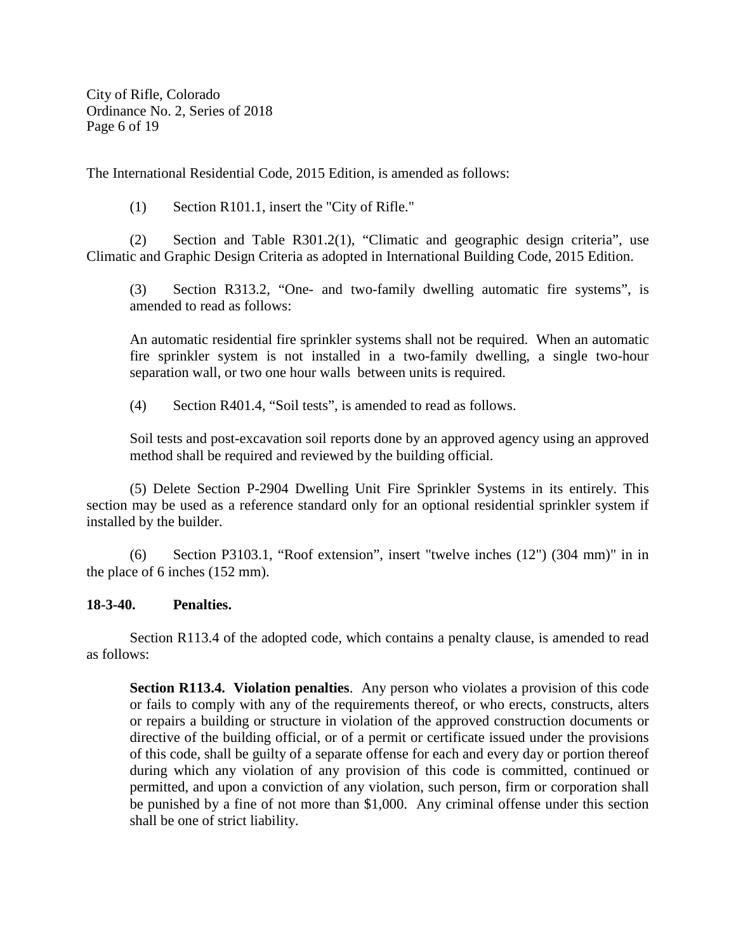City of Rifle, Colorado Ordinance No. 2, Series of 2018 Page 6 of 19

The International Residential Code, 2015 Edition, is amended as follows:

(1) Section R101.1, insert the "City of Rifle."

(2) Section and Table R301.2(1), "Climatic and geographic design criteria", use Climatic and Graphic Design Criteria as adopted in International Building Code, 2015 Edition.

(3) Section R313.2, "One- and two-family dwelling automatic fire systems", is amended to read as follows:

An automatic residential fire sprinkler systems shall not be required. When an automatic fire sprinkler system is not installed in a two-family dwelling, a single two-hour separation wall, or two one hour walls between units is required.

(4) Section R401.4, "Soil tests", is amended to read as follows.

Soil tests and post-excavation soil reports done by an approved agency using an approved method shall be required and reviewed by the building official.

(5) Delete Section P-2904 Dwelling Unit Fire Sprinkler Systems in its entirely. This section may be used as a reference standard only for an optional residential sprinkler system if installed by the builder.

(6) Section P3103.1, "Roof extension", insert "twelve inches (12") (304 mm)" in in the place of 6 inches (152 mm).

# **18-3-40. Penalties.**

Section R113.4 of the adopted code, which contains a penalty clause, is amended to read as follows:

**Section R113.4. Violation penalties**. Any person who violates a provision of this code or fails to comply with any of the requirements thereof, or who erects, constructs, alters or repairs a building or structure in violation of the approved construction documents or directive of the building official, or of a permit or certificate issued under the provisions of this code, shall be guilty of a separate offense for each and every day or portion thereof during which any violation of any provision of this code is committed, continued or permitted, and upon a conviction of any violation, such person, firm or corporation shall be punished by a fine of not more than \$1,000. Any criminal offense under this section shall be one of strict liability.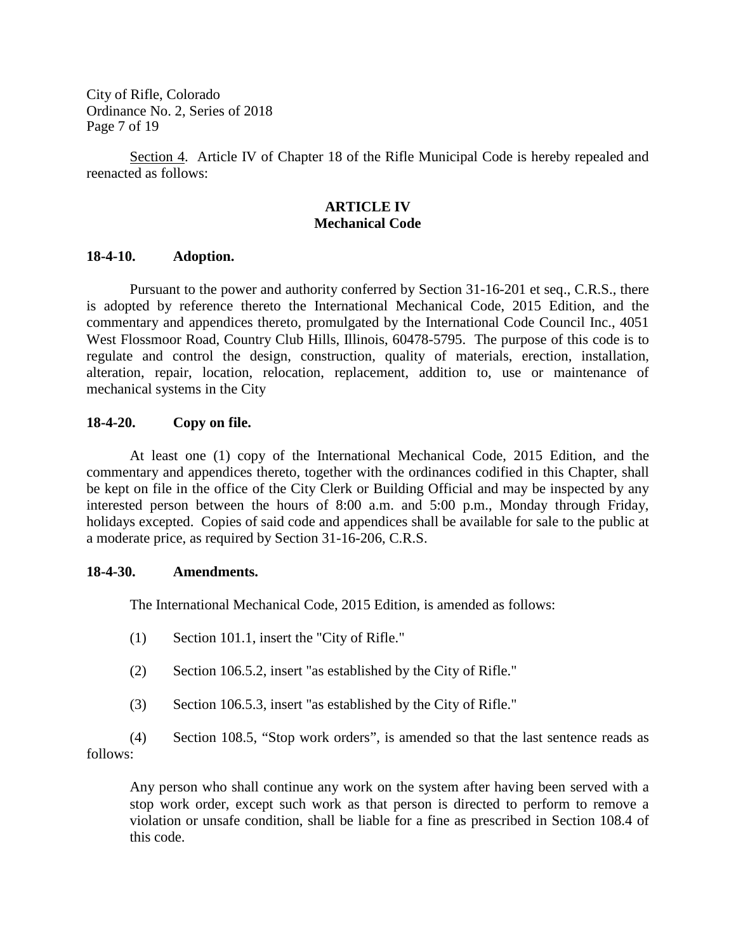City of Rifle, Colorado Ordinance No. 2, Series of 2018 Page 7 of 19

Section 4. Article IV of Chapter 18 of the Rifle Municipal Code is hereby repealed and reenacted as follows:

# **ARTICLE IV Mechanical Code**

#### **18-4-10. Adoption.**

Pursuant to the power and authority conferred by Section 31-16-201 et seq., C.R.S., there is adopted by reference thereto the International Mechanical Code, 2015 Edition, and the commentary and appendices thereto, promulgated by the International Code Council Inc., 4051 West Flossmoor Road, Country Club Hills, Illinois, 60478-5795. The purpose of this code is to regulate and control the design, construction, quality of materials, erection, installation, alteration, repair, location, relocation, replacement, addition to, use or maintenance of mechanical systems in the City

# **18-4-20. Copy on file.**

At least one (1) copy of the International Mechanical Code, 2015 Edition, and the commentary and appendices thereto, together with the ordinances codified in this Chapter, shall be kept on file in the office of the City Clerk or Building Official and may be inspected by any interested person between the hours of 8:00 a.m. and 5:00 p.m., Monday through Friday, holidays excepted. Copies of said code and appendices shall be available for sale to the public at a moderate price, as required by Section 31-16-206, C.R.S.

#### **18-4-30. Amendments.**

The International Mechanical Code, 2015 Edition, is amended as follows:

- (1) Section 101.1, insert the "City of Rifle."
- (2) Section 106.5.2, insert "as established by the City of Rifle."
- (3) Section 106.5.3, insert "as established by the City of Rifle."

(4) Section 108.5, "Stop work orders", is amended so that the last sentence reads as follows:

Any person who shall continue any work on the system after having been served with a stop work order, except such work as that person is directed to perform to remove a violation or unsafe condition, shall be liable for a fine as prescribed in Section 108.4 of this code.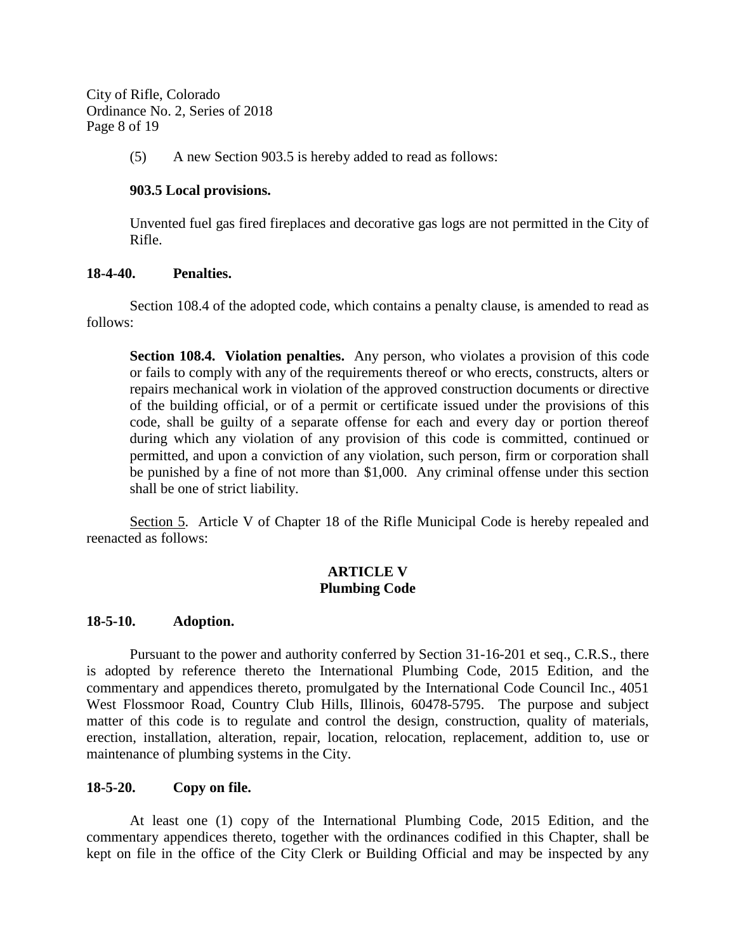City of Rifle, Colorado Ordinance No. 2, Series of 2018 Page 8 of 19

(5) A new Section 903.5 is hereby added to read as follows:

# **903.5 Local provisions.**

Unvented fuel gas fired fireplaces and decorative gas logs are not permitted in the City of Rifle.

## **18-4-40. Penalties.**

Section 108.4 of the adopted code, which contains a penalty clause, is amended to read as follows:

**Section 108.4. Violation penalties.** Any person, who violates a provision of this code or fails to comply with any of the requirements thereof or who erects, constructs, alters or repairs mechanical work in violation of the approved construction documents or directive of the building official, or of a permit or certificate issued under the provisions of this code, shall be guilty of a separate offense for each and every day or portion thereof during which any violation of any provision of this code is committed, continued or permitted, and upon a conviction of any violation, such person, firm or corporation shall be punished by a fine of not more than \$1,000. Any criminal offense under this section shall be one of strict liability.

Section 5. Article V of Chapter 18 of the Rifle Municipal Code is hereby repealed and reenacted as follows:

# **ARTICLE V Plumbing Code**

#### **18-5-10. Adoption.**

Pursuant to the power and authority conferred by Section 31-16-201 et seq., C.R.S., there is adopted by reference thereto the International Plumbing Code, 2015 Edition, and the commentary and appendices thereto, promulgated by the International Code Council Inc., 4051 West Flossmoor Road, Country Club Hills, Illinois, 60478-5795. The purpose and subject matter of this code is to regulate and control the design, construction, quality of materials, erection, installation, alteration, repair, location, relocation, replacement, addition to, use or maintenance of plumbing systems in the City.

# **18-5-20. Copy on file.**

At least one (1) copy of the International Plumbing Code, 2015 Edition, and the commentary appendices thereto, together with the ordinances codified in this Chapter, shall be kept on file in the office of the City Clerk or Building Official and may be inspected by any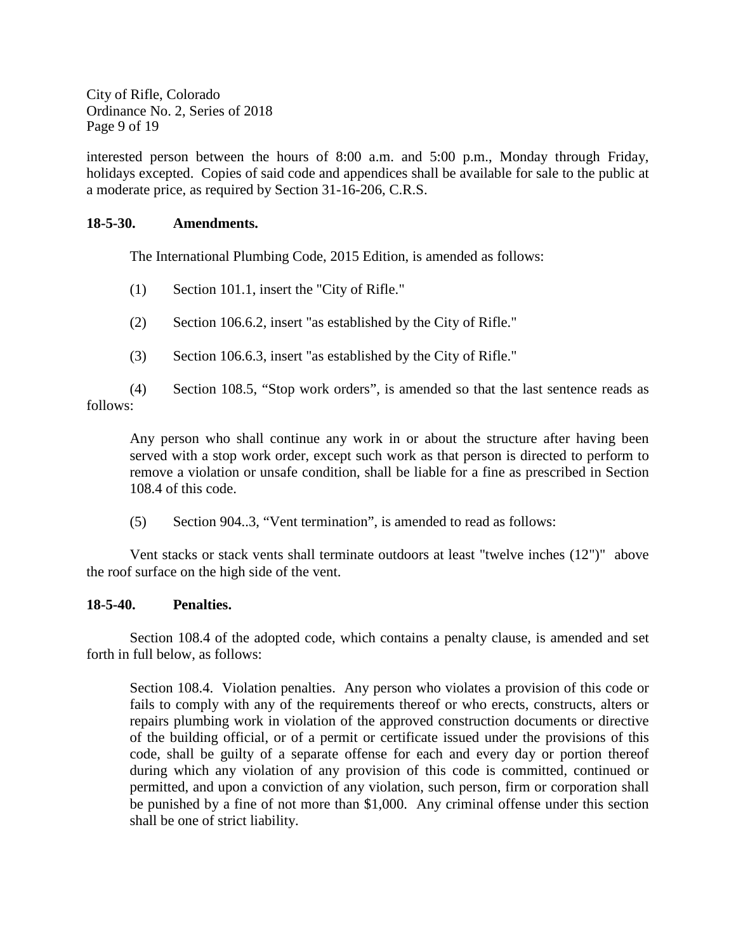City of Rifle, Colorado Ordinance No. 2, Series of 2018 Page 9 of 19

interested person between the hours of 8:00 a.m. and 5:00 p.m., Monday through Friday, holidays excepted. Copies of said code and appendices shall be available for sale to the public at a moderate price, as required by Section 31-16-206, C.R.S.

# **18-5-30. Amendments.**

The International Plumbing Code, 2015 Edition, is amended as follows:

- (1) Section 101.1, insert the "City of Rifle."
- (2) Section 106.6.2, insert "as established by the City of Rifle."
- (3) Section 106.6.3, insert "as established by the City of Rifle."

(4) Section 108.5, "Stop work orders", is amended so that the last sentence reads as follows:

Any person who shall continue any work in or about the structure after having been served with a stop work order, except such work as that person is directed to perform to remove a violation or unsafe condition, shall be liable for a fine as prescribed in Section 108.4 of this code.

(5) Section 904..3, "Vent termination", is amended to read as follows:

Vent stacks or stack vents shall terminate outdoors at least "twelve inches (12")" above the roof surface on the high side of the vent.

# **18-5-40. Penalties.**

Section 108.4 of the adopted code, which contains a penalty clause, is amended and set forth in full below, as follows:

Section 108.4. Violation penalties. Any person who violates a provision of this code or fails to comply with any of the requirements thereof or who erects, constructs, alters or repairs plumbing work in violation of the approved construction documents or directive of the building official, or of a permit or certificate issued under the provisions of this code, shall be guilty of a separate offense for each and every day or portion thereof during which any violation of any provision of this code is committed, continued or permitted, and upon a conviction of any violation, such person, firm or corporation shall be punished by a fine of not more than \$1,000. Any criminal offense under this section shall be one of strict liability.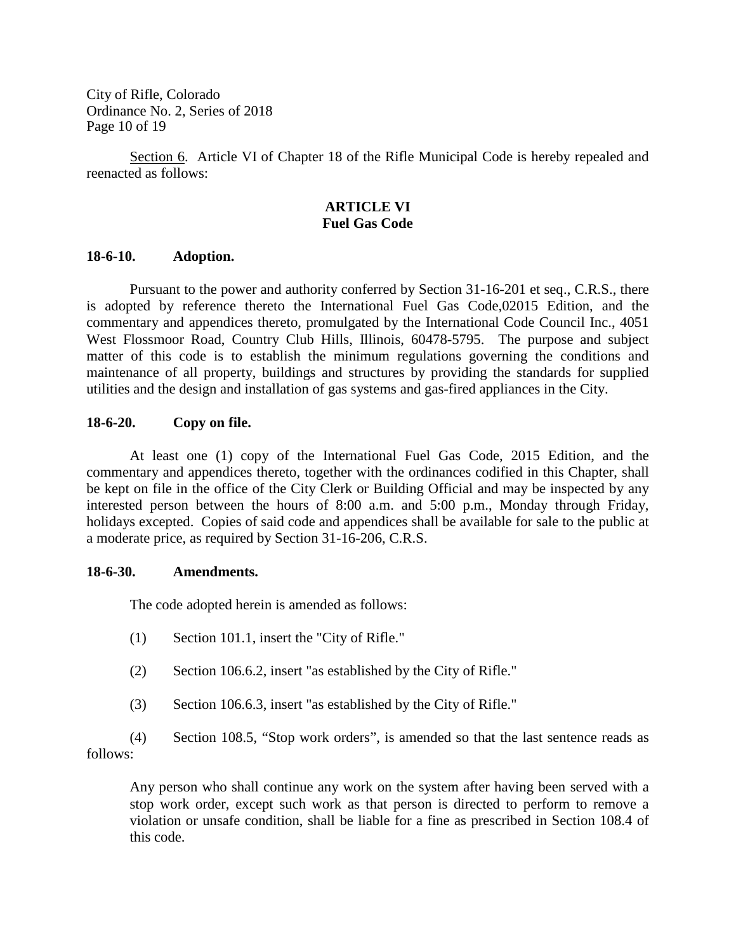City of Rifle, Colorado Ordinance No. 2, Series of 2018 Page 10 of 19

Section 6. Article VI of Chapter 18 of the Rifle Municipal Code is hereby repealed and reenacted as follows:

## **ARTICLE VI Fuel Gas Code**

#### **18-6-10. Adoption.**

Pursuant to the power and authority conferred by Section 31-16-201 et seq., C.R.S., there is adopted by reference thereto the International Fuel Gas Code,02015 Edition, and the commentary and appendices thereto, promulgated by the International Code Council Inc., 4051 West Flossmoor Road, Country Club Hills, Illinois, 60478-5795. The purpose and subject matter of this code is to establish the minimum regulations governing the conditions and maintenance of all property, buildings and structures by providing the standards for supplied utilities and the design and installation of gas systems and gas-fired appliances in the City.

# **18-6-20. Copy on file.**

At least one (1) copy of the International Fuel Gas Code, 2015 Edition, and the commentary and appendices thereto, together with the ordinances codified in this Chapter, shall be kept on file in the office of the City Clerk or Building Official and may be inspected by any interested person between the hours of 8:00 a.m. and 5:00 p.m., Monday through Friday, holidays excepted. Copies of said code and appendices shall be available for sale to the public at a moderate price, as required by Section 31-16-206, C.R.S.

#### **18-6-30. Amendments.**

The code adopted herein is amended as follows:

- (1) Section 101.1, insert the "City of Rifle."
- (2) Section 106.6.2, insert "as established by the City of Rifle."
- (3) Section 106.6.3, insert "as established by the City of Rifle."

(4) Section 108.5, "Stop work orders", is amended so that the last sentence reads as follows:

Any person who shall continue any work on the system after having been served with a stop work order, except such work as that person is directed to perform to remove a violation or unsafe condition, shall be liable for a fine as prescribed in Section 108.4 of this code.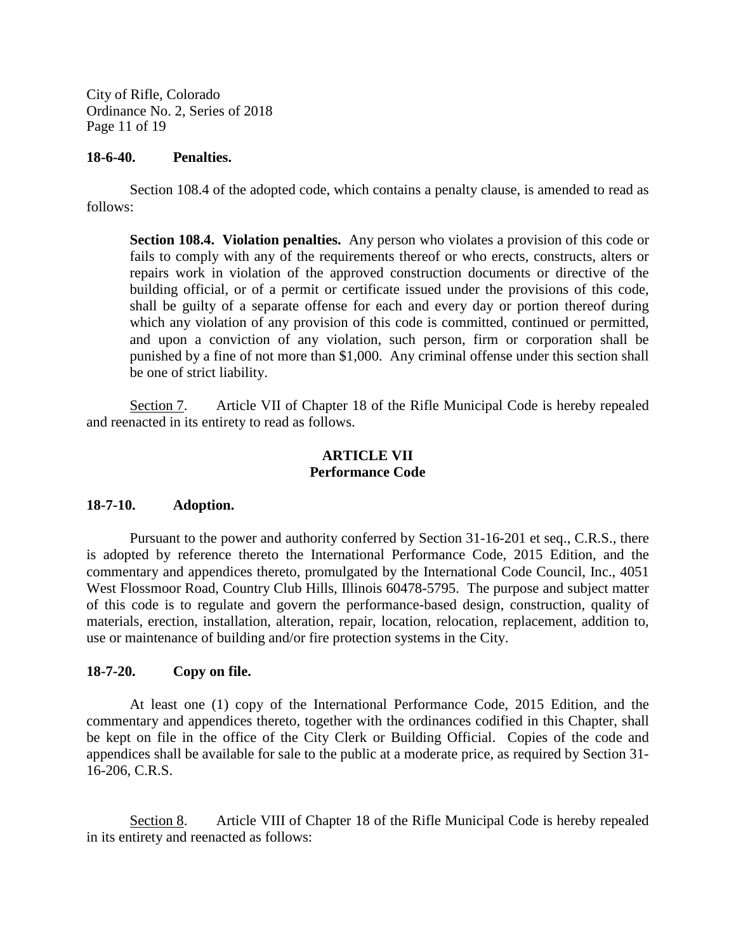City of Rifle, Colorado Ordinance No. 2, Series of 2018 Page 11 of 19

### **18-6-40. Penalties.**

Section 108.4 of the adopted code, which contains a penalty clause, is amended to read as follows:

**Section 108.4. Violation penalties.** Any person who violates a provision of this code or fails to comply with any of the requirements thereof or who erects, constructs, alters or repairs work in violation of the approved construction documents or directive of the building official, or of a permit or certificate issued under the provisions of this code, shall be guilty of a separate offense for each and every day or portion thereof during which any violation of any provision of this code is committed, continued or permitted, and upon a conviction of any violation, such person, firm or corporation shall be punished by a fine of not more than \$1,000. Any criminal offense under this section shall be one of strict liability.

Section 7. Article VII of Chapter 18 of the Rifle Municipal Code is hereby repealed and reenacted in its entirety to read as follows.

# **ARTICLE VII Performance Code**

# **18-7-10. Adoption.**

Pursuant to the power and authority conferred by Section 31-16-201 et seq., C.R.S., there is adopted by reference thereto the International Performance Code, 2015 Edition, and the commentary and appendices thereto, promulgated by the International Code Council, Inc., 4051 West Flossmoor Road, Country Club Hills, Illinois 60478-5795. The purpose and subject matter of this code is to regulate and govern the performance-based design, construction, quality of materials, erection, installation, alteration, repair, location, relocation, replacement, addition to, use or maintenance of building and/or fire protection systems in the City.

# **18-7-20. Copy on file.**

At least one (1) copy of the International Performance Code, 2015 Edition, and the commentary and appendices thereto, together with the ordinances codified in this Chapter, shall be kept on file in the office of the City Clerk or Building Official. Copies of the code and appendices shall be available for sale to the public at a moderate price, as required by Section 31- 16-206, C.R.S.

Section 8. Article VIII of Chapter 18 of the Rifle Municipal Code is hereby repealed in its entirety and reenacted as follows: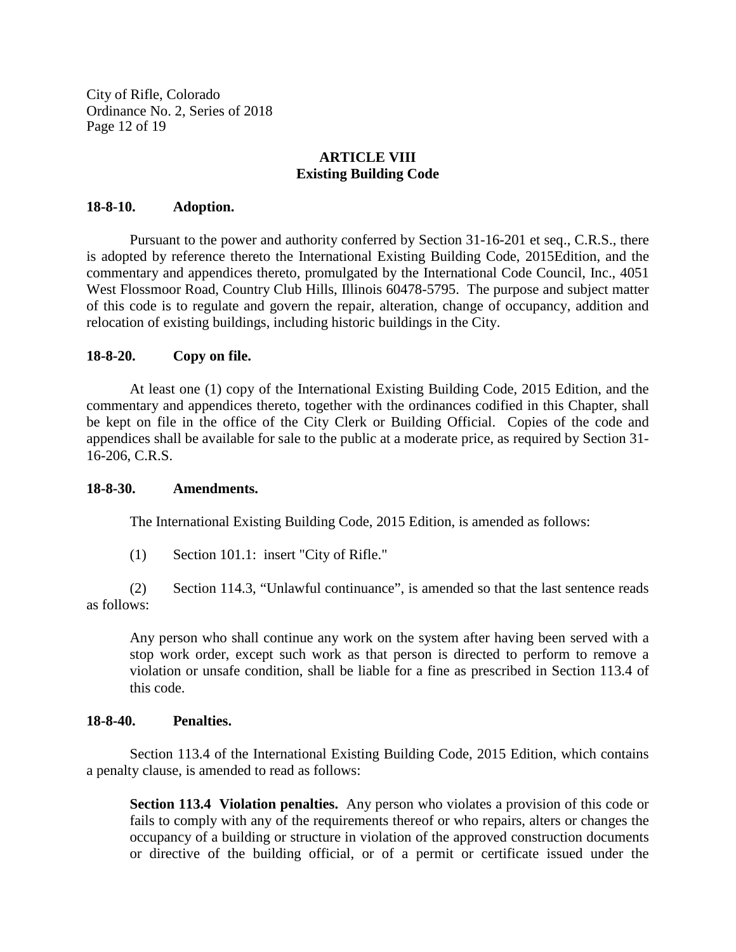City of Rifle, Colorado Ordinance No. 2, Series of 2018 Page 12 of 19

# **ARTICLE VIII Existing Building Code**

#### **18-8-10. Adoption.**

Pursuant to the power and authority conferred by Section 31-16-201 et seq., C.R.S., there is adopted by reference thereto the International Existing Building Code, 2015Edition, and the commentary and appendices thereto, promulgated by the International Code Council, Inc., 4051 West Flossmoor Road, Country Club Hills, Illinois 60478-5795. The purpose and subject matter of this code is to regulate and govern the repair, alteration, change of occupancy, addition and relocation of existing buildings, including historic buildings in the City.

# **18-8-20. Copy on file.**

At least one (1) copy of the International Existing Building Code, 2015 Edition, and the commentary and appendices thereto, together with the ordinances codified in this Chapter, shall be kept on file in the office of the City Clerk or Building Official. Copies of the code and appendices shall be available for sale to the public at a moderate price, as required by Section 31- 16-206, C.R.S.

#### **18-8-30. Amendments.**

The International Existing Building Code, 2015 Edition, is amended as follows:

(1) Section 101.1: insert "City of Rifle."

(2) Section 114.3, "Unlawful continuance", is amended so that the last sentence reads as follows:

Any person who shall continue any work on the system after having been served with a stop work order, except such work as that person is directed to perform to remove a violation or unsafe condition, shall be liable for a fine as prescribed in Section 113.4 of this code.

# **18-8-40. Penalties.**

Section 113.4 of the International Existing Building Code, 2015 Edition, which contains a penalty clause, is amended to read as follows:

**Section 113.4 Violation penalties.** Any person who violates a provision of this code or fails to comply with any of the requirements thereof or who repairs, alters or changes the occupancy of a building or structure in violation of the approved construction documents or directive of the building official, or of a permit or certificate issued under the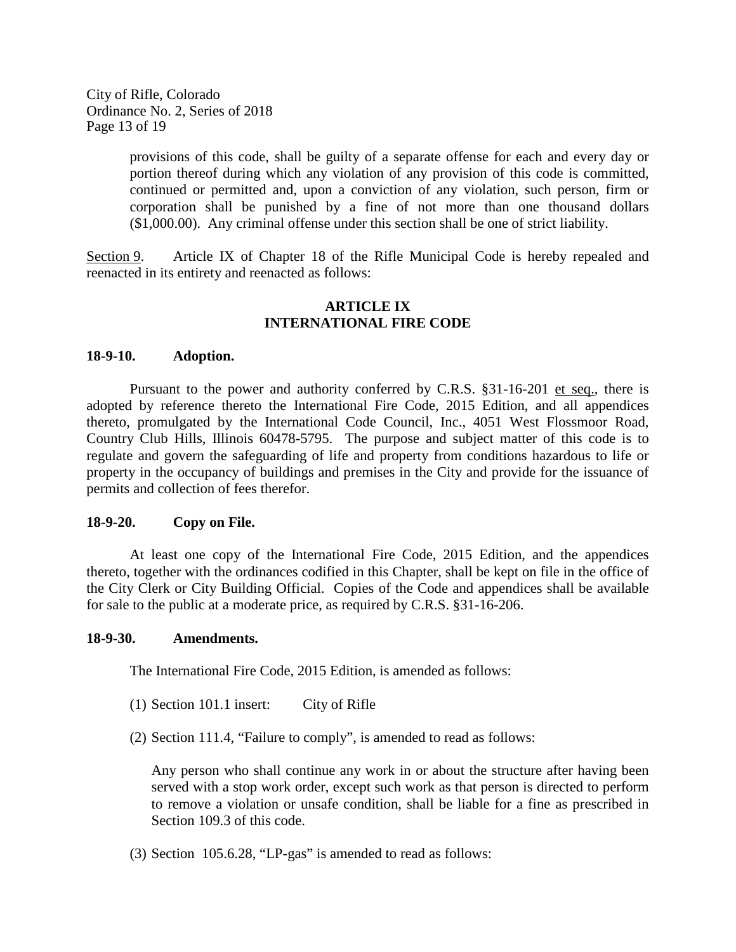City of Rifle, Colorado Ordinance No. 2, Series of 2018 Page 13 of 19

> provisions of this code, shall be guilty of a separate offense for each and every day or portion thereof during which any violation of any provision of this code is committed, continued or permitted and, upon a conviction of any violation, such person, firm or corporation shall be punished by a fine of not more than one thousand dollars (\$1,000.00). Any criminal offense under this section shall be one of strict liability.

Section 9. Article IX of Chapter 18 of the Rifle Municipal Code is hereby repealed and reenacted in its entirety and reenacted as follows:

## **ARTICLE IX INTERNATIONAL FIRE CODE**

#### **18-9-10. Adoption.**

Pursuant to the power and authority conferred by C.R.S. §31-16-201 et seq., there is adopted by reference thereto the International Fire Code, 2015 Edition, and all appendices thereto, promulgated by the International Code Council, Inc., 4051 West Flossmoor Road, Country Club Hills, Illinois 60478-5795. The purpose and subject matter of this code is to regulate and govern the safeguarding of life and property from conditions hazardous to life or property in the occupancy of buildings and premises in the City and provide for the issuance of permits and collection of fees therefor.

#### **18-9-20. Copy on File.**

At least one copy of the International Fire Code, 2015 Edition, and the appendices thereto, together with the ordinances codified in this Chapter, shall be kept on file in the office of the City Clerk or City Building Official. Copies of the Code and appendices shall be available for sale to the public at a moderate price, as required by C.R.S. §31-16-206.

#### **18-9-30. Amendments.**

The International Fire Code, 2015 Edition, is amended as follows:

- (1) Section 101.1 insert: City of Rifle
- (2) Section 111.4, "Failure to comply", is amended to read as follows:

Any person who shall continue any work in or about the structure after having been served with a stop work order, except such work as that person is directed to perform to remove a violation or unsafe condition, shall be liable for a fine as prescribed in Section 109.3 of this code.

(3) Section 105.6.28, "LP-gas" is amended to read as follows: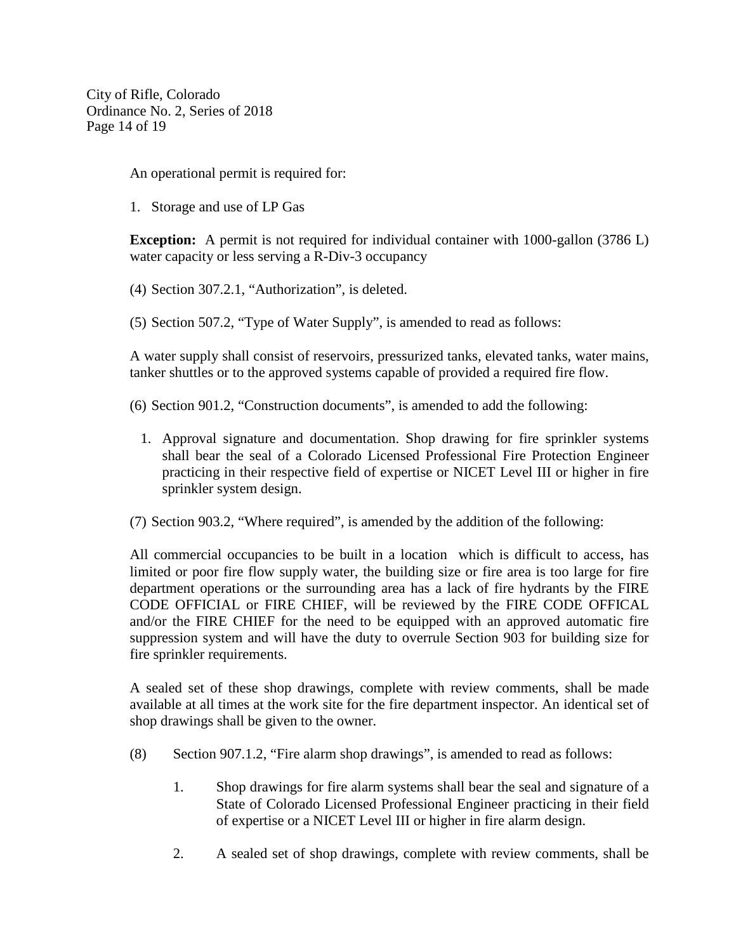City of Rifle, Colorado Ordinance No. 2, Series of 2018 Page 14 of 19

An operational permit is required for:

1. Storage and use of LP Gas

**Exception:** A permit is not required for individual container with 1000-gallon (3786 L) water capacity or less serving a R-Div-3 occupancy

- (4) Section 307.2.1, "Authorization", is deleted.
- (5) Section 507.2, "Type of Water Supply", is amended to read as follows:

A water supply shall consist of reservoirs, pressurized tanks, elevated tanks, water mains, tanker shuttles or to the approved systems capable of provided a required fire flow.

- (6) Section 901.2, "Construction documents", is amended to add the following:
	- 1. Approval signature and documentation. Shop drawing for fire sprinkler systems shall bear the seal of a Colorado Licensed Professional Fire Protection Engineer practicing in their respective field of expertise or NICET Level III or higher in fire sprinkler system design.
- (7) Section 903.2, "Where required", is amended by the addition of the following:

All commercial occupancies to be built in a location which is difficult to access, has limited or poor fire flow supply water, the building size or fire area is too large for fire department operations or the surrounding area has a lack of fire hydrants by the FIRE CODE OFFICIAL or FIRE CHIEF, will be reviewed by the FIRE CODE OFFICAL and/or the FIRE CHIEF for the need to be equipped with an approved automatic fire suppression system and will have the duty to overrule Section 903 for building size for fire sprinkler requirements.

A sealed set of these shop drawings, complete with review comments, shall be made available at all times at the work site for the fire department inspector. An identical set of shop drawings shall be given to the owner.

- (8) Section 907.1.2, "Fire alarm shop drawings", is amended to read as follows:
	- 1. Shop drawings for fire alarm systems shall bear the seal and signature of a State of Colorado Licensed Professional Engineer practicing in their field of expertise or a NICET Level III or higher in fire alarm design.
	- 2. A sealed set of shop drawings, complete with review comments, shall be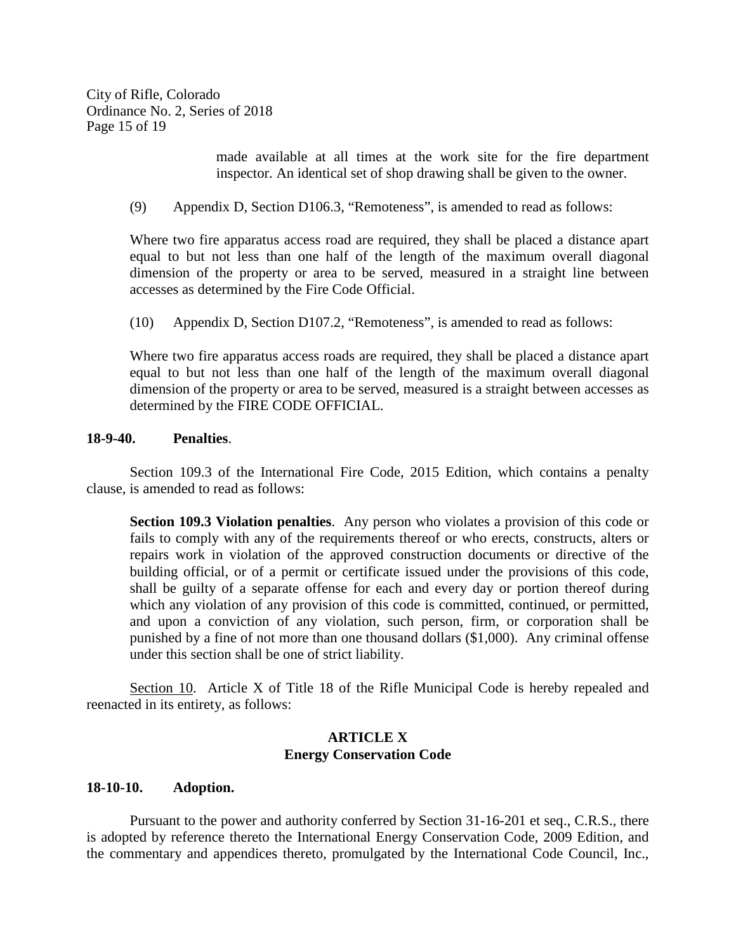City of Rifle, Colorado Ordinance No. 2, Series of 2018 Page 15 of 19

> made available at all times at the work site for the fire department inspector. An identical set of shop drawing shall be given to the owner.

(9) Appendix D, Section D106.3, "Remoteness", is amended to read as follows:

Where two fire apparatus access road are required, they shall be placed a distance apart equal to but not less than one half of the length of the maximum overall diagonal dimension of the property or area to be served, measured in a straight line between accesses as determined by the Fire Code Official.

(10) Appendix D, Section D107.2, "Remoteness", is amended to read as follows:

Where two fire apparatus access roads are required, they shall be placed a distance apart equal to but not less than one half of the length of the maximum overall diagonal dimension of the property or area to be served, measured is a straight between accesses as determined by the FIRE CODE OFFICIAL.

#### **18-9-40. Penalties**.

Section 109.3 of the International Fire Code, 2015 Edition, which contains a penalty clause, is amended to read as follows:

**Section 109.3 Violation penalties**. Any person who violates a provision of this code or fails to comply with any of the requirements thereof or who erects, constructs, alters or repairs work in violation of the approved construction documents or directive of the building official, or of a permit or certificate issued under the provisions of this code, shall be guilty of a separate offense for each and every day or portion thereof during which any violation of any provision of this code is committed, continued, or permitted, and upon a conviction of any violation, such person, firm, or corporation shall be punished by a fine of not more than one thousand dollars (\$1,000). Any criminal offense under this section shall be one of strict liability.

Section 10. Article X of Title 18 of the Rifle Municipal Code is hereby repealed and reenacted in its entirety, as follows:

#### **ARTICLE X Energy Conservation Code**

#### **18-10-10. Adoption.**

Pursuant to the power and authority conferred by Section 31-16-201 et seq., C.R.S., there is adopted by reference thereto the International Energy Conservation Code, 2009 Edition, and the commentary and appendices thereto, promulgated by the International Code Council, Inc.,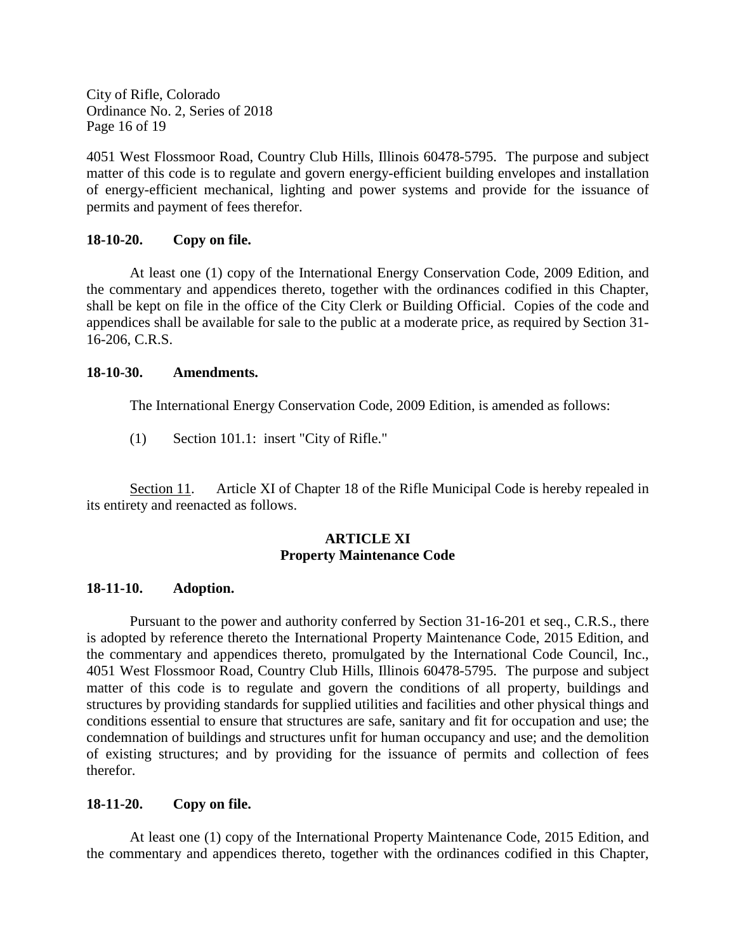City of Rifle, Colorado Ordinance No. 2, Series of 2018 Page 16 of 19

4051 West Flossmoor Road, Country Club Hills, Illinois 60478-5795. The purpose and subject matter of this code is to regulate and govern energy-efficient building envelopes and installation of energy-efficient mechanical, lighting and power systems and provide for the issuance of permits and payment of fees therefor.

# **18-10-20. Copy on file.**

At least one (1) copy of the International Energy Conservation Code, 2009 Edition, and the commentary and appendices thereto, together with the ordinances codified in this Chapter, shall be kept on file in the office of the City Clerk or Building Official. Copies of the code and appendices shall be available for sale to the public at a moderate price, as required by Section 31- 16-206, C.R.S.

## **18-10-30. Amendments.**

The International Energy Conservation Code, 2009 Edition, is amended as follows:

(1) Section 101.1: insert "City of Rifle."

Section 11. Article XI of Chapter 18 of the Rifle Municipal Code is hereby repealed in its entirety and reenacted as follows.

## **ARTICLE XI Property Maintenance Code**

#### **18-11-10. Adoption.**

Pursuant to the power and authority conferred by Section 31-16-201 et seq., C.R.S., there is adopted by reference thereto the International Property Maintenance Code, 2015 Edition, and the commentary and appendices thereto, promulgated by the International Code Council, Inc., 4051 West Flossmoor Road, Country Club Hills, Illinois 60478-5795. The purpose and subject matter of this code is to regulate and govern the conditions of all property, buildings and structures by providing standards for supplied utilities and facilities and other physical things and conditions essential to ensure that structures are safe, sanitary and fit for occupation and use; the condemnation of buildings and structures unfit for human occupancy and use; and the demolition of existing structures; and by providing for the issuance of permits and collection of fees therefor.

# **18-11-20. Copy on file.**

At least one (1) copy of the International Property Maintenance Code, 2015 Edition, and the commentary and appendices thereto, together with the ordinances codified in this Chapter,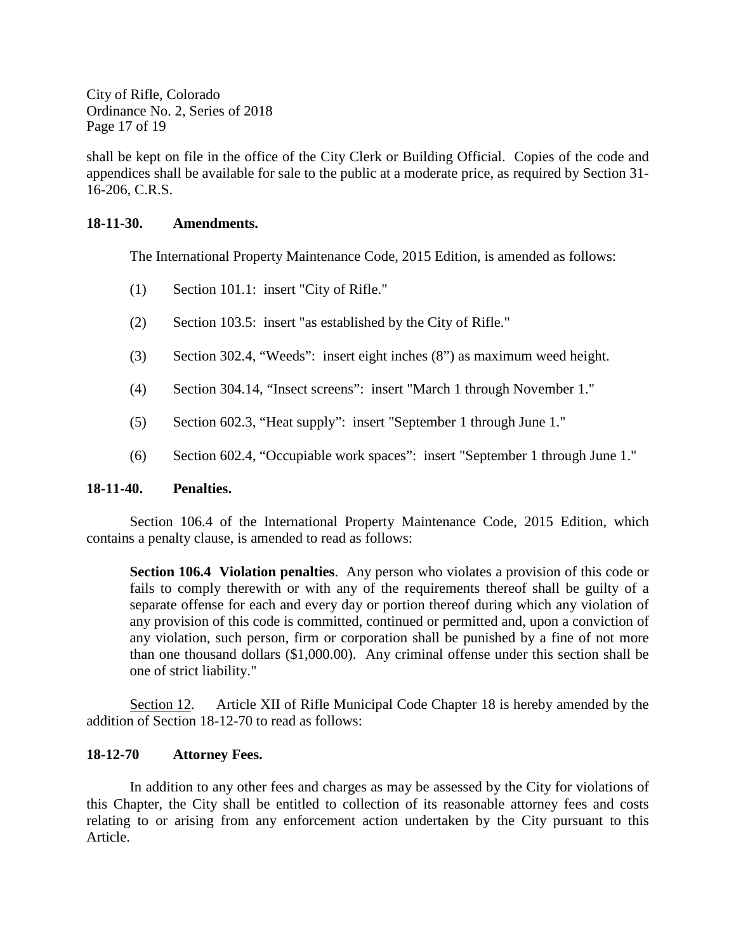City of Rifle, Colorado Ordinance No. 2, Series of 2018 Page 17 of 19

shall be kept on file in the office of the City Clerk or Building Official. Copies of the code and appendices shall be available for sale to the public at a moderate price, as required by Section 31- 16-206, C.R.S.

## **18-11-30. Amendments.**

The International Property Maintenance Code, 2015 Edition, is amended as follows:

- (1) Section 101.1: insert "City of Rifle."
- (2) Section 103.5: insert "as established by the City of Rifle."
- (3) Section 302.4, "Weeds": insert eight inches (8") as maximum weed height.
- (4) Section 304.14, "Insect screens": insert "March 1 through November 1."
- (5) Section 602.3, "Heat supply": insert "September 1 through June 1."
- (6) Section 602.4, "Occupiable work spaces": insert "September 1 through June 1."

#### **18-11-40. Penalties.**

Section 106.4 of the International Property Maintenance Code, 2015 Edition, which contains a penalty clause, is amended to read as follows:

**Section 106.4 Violation penalties**. Any person who violates a provision of this code or fails to comply therewith or with any of the requirements thereof shall be guilty of a separate offense for each and every day or portion thereof during which any violation of any provision of this code is committed, continued or permitted and, upon a conviction of any violation, such person, firm or corporation shall be punished by a fine of not more than one thousand dollars (\$1,000.00). Any criminal offense under this section shall be one of strict liability."

Section 12. Article XII of Rifle Municipal Code Chapter 18 is hereby amended by the addition of Section 18-12-70 to read as follows:

# **18-12-70 Attorney Fees.**

In addition to any other fees and charges as may be assessed by the City for violations of this Chapter, the City shall be entitled to collection of its reasonable attorney fees and costs relating to or arising from any enforcement action undertaken by the City pursuant to this Article.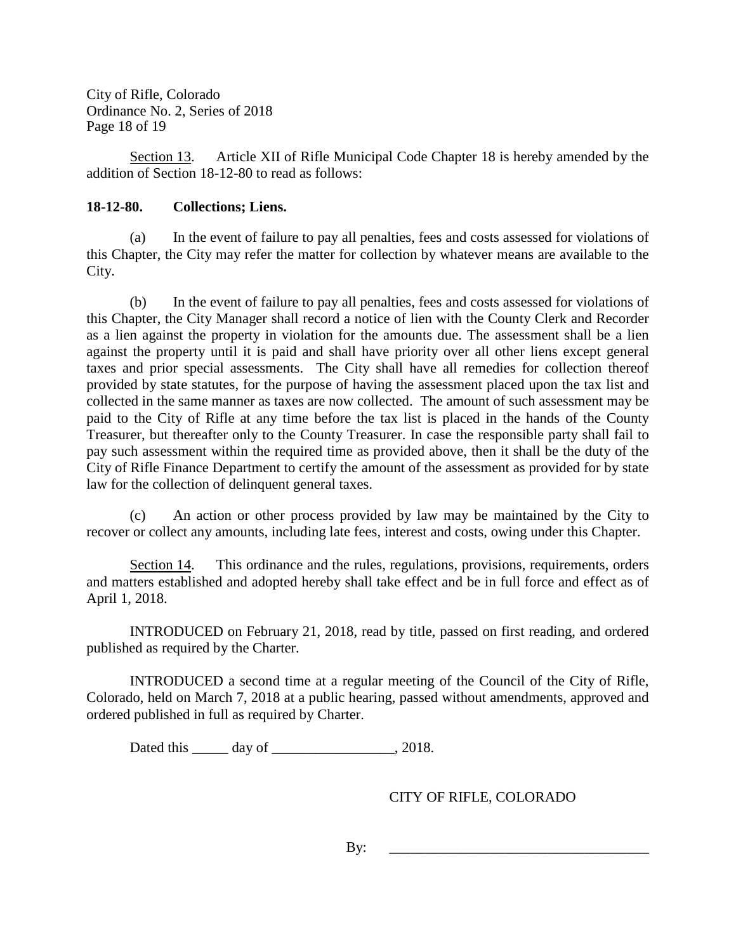City of Rifle, Colorado Ordinance No. 2, Series of 2018 Page 18 of 19

Section 13. Article XII of Rifle Municipal Code Chapter 18 is hereby amended by the addition of Section 18-12-80 to read as follows:

# **18-12-80. Collections; Liens.**

(a) In the event of failure to pay all penalties, fees and costs assessed for violations of this Chapter, the City may refer the matter for collection by whatever means are available to the City.

(b) In the event of failure to pay all penalties, fees and costs assessed for violations of this Chapter, the City Manager shall record a notice of lien with the County Clerk and Recorder as a lien against the property in violation for the amounts due. The assessment shall be a lien against the property until it is paid and shall have priority over all other liens except general taxes and prior special assessments. The City shall have all remedies for collection thereof provided by state statutes, for the purpose of having the assessment placed upon the tax list and collected in the same manner as taxes are now collected. The amount of such assessment may be paid to the City of Rifle at any time before the tax list is placed in the hands of the County Treasurer, but thereafter only to the County Treasurer. In case the responsible party shall fail to pay such assessment within the required time as provided above, then it shall be the duty of the City of Rifle Finance Department to certify the amount of the assessment as provided for by state law for the collection of delinquent general taxes.

(c) An action or other process provided by law may be maintained by the City to recover or collect any amounts, including late fees, interest and costs, owing under this Chapter.

Section 14. This ordinance and the rules, regulations, provisions, requirements, orders and matters established and adopted hereby shall take effect and be in full force and effect as of April 1, 2018.

INTRODUCED on February 21, 2018, read by title, passed on first reading, and ordered published as required by the Charter.

INTRODUCED a second time at a regular meeting of the Council of the City of Rifle, Colorado, held on March 7, 2018 at a public hearing, passed without amendments, approved and ordered published in full as required by Charter.

Dated this \_\_\_\_\_\_ day of \_\_\_\_\_\_\_\_\_\_\_\_\_\_\_\_\_, 2018.

CITY OF RIFLE, COLORADO